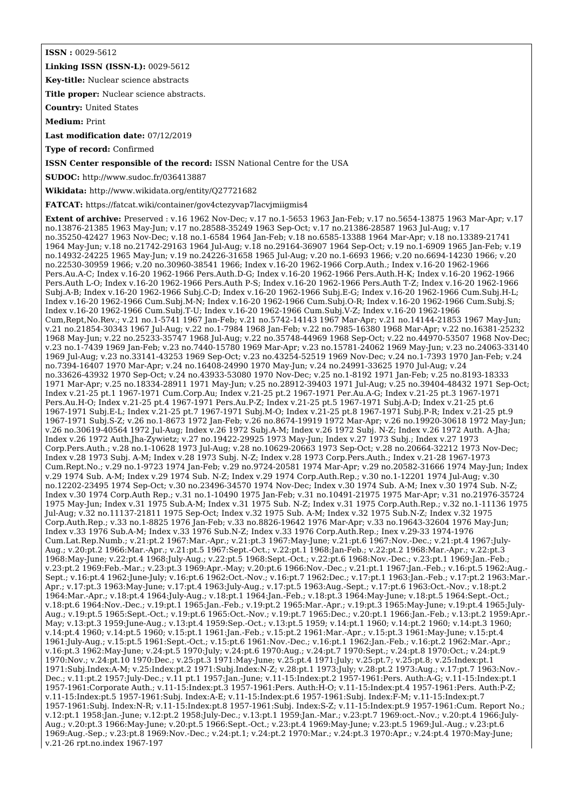**ISSN :** 0029-5612

**Linking ISSN (ISSN-L):** 0029-5612

**Key-title:** Nuclear science abstracts

**Title proper:** Nuclear science abstracts.

**Country:** United States

**Medium:** Print

**Last modification date:** 07/12/2019

**Type of record:** Confirmed

**ISSN Center responsible of the record:** ISSN National Centre for the USA

**SUDOC:** <http://www.sudoc.fr/036413887>

**Wikidata:** <http://www.wikidata.org/entity/Q27721682>

**FATCAT:** <https://fatcat.wiki/container/gov4ctezyvap7lacvjmiigmis4>

**Extent of archive:** Preserved : v.16 1962 Nov-Dec; v.17 no.1-5653 1963 Jan-Feb; v.17 no.5654-13875 1963 Mar-Apr; v.17 no.13876-21385 1963 May-Jun; v.17 no.28588-35249 1963 Sep-Oct; v.17 no.21386-28587 1963 Jul-Aug; v.17 no.35250-42427 1963 Nov-Dec; v.18 no.1-6584 1964 Jan-Feb; v.18 no.6585-13388 1964 Mar-Apr; v.18 no.13389-21741 1964 May-Jun; v.18 no.21742-29163 1964 Jul-Aug; v.18 no.29164-36907 1964 Sep-Oct; v.19 no.1-6909 1965 Jan-Feb; v.19 no.14932-24225 1965 May-Jun; v.19 no.24226-31658 1965 Jul-Aug; v.20 no.1-6693 1966; v.20 no.6694-14230 1966; v.20 no.22530-30959 1966; v.20 no.30960-38541 1966; Index v.16-20 1962-1966 Corp.Auth.; Index v.16-20 1962-1966 Pers.Au.A-C; Index v.16-20 1962-1966 Pers.Auth.D-G; Index v.16-20 1962-1966 Pers.Auth.H-K; Index v.16-20 1962-1966 Pers.Auth L-O; Index v.16-20 1962-1966 Pers.Auth P-S; Index v.16-20 1962-1966 Pers.Auth T-Z; Index v.16-20 1962-1966 Subj.A-B; Index v.16-20 1962-1966 Subj.C-D; Index v.16-20 1962-1966 Subj.E-G; Index v.16-20 1962-1966 Cum.Subj.H-L; Index v.16-20 1962-1966 Cum.Subj.M-N; Index v.16-20 1962-1966 Cum.Subj.O-R; Index v.16-20 1962-1966 Cum.Subj.S; Index v.16-20 1962-1966 Cum.Subj.T-U; Index v.16-20 1962-1966 Cum.Subj.V-Z; Index v.16-20 1962-1966 Cum,Rept,No.Rev.; v.21 no.1-5741 1967 Jan-Feb; v.21 no.5742-14143 1967 Mar-Apr; v.21 no.14144-21853 1967 May-Jun; v.21 no.21854-30343 1967 Jul-Aug; v.22 no.1-7984 1968 Jan-Feb; v.22 no.7985-16380 1968 Mar-Apr; v.22 no.16381-25232 1968 May-Jun; v.22 no.25233-35747 1968 Jul-Aug; v.22 no.35748-44969 1968 Sep-Oct; v.22 no.44970-53507 1968 Nov-Dec; v.23 no.1-7439 1969 Jan-Feb; v.23 no.7440-15780 1969 Mar-Apr; v.23 no.15781-24062 1969 May-Jun; v.23 no.24063-33140 1969 Jul-Aug; v.23 no.33141-43253 1969 Sep-Oct; v.23 no.43254-52519 1969 Nov-Dec; v.24 no.1-7393 1970 Jan-Feb; v.24 no.7394-16407 1970 Mar-Apr; v.24 no.16408-24990 1970 May-Jun; v.24 no.24991-33625 1970 Jul-Aug; v.24 no.33626-43932 1970 Sep-Oct; v.24 no.43933-53080 1970 Nov-Dec; v.25 no.1-8192 1971 Jan-Feb; v.25 no.8193-18333 1971 Mar-Apr; v.25 no.18334-28911 1971 May-Jun; v.25 no.28912-39403 1971 Jul-Aug; v.25 no.39404-48432 1971 Sep-Oct; Index v.21-25 pt.1 1967-1971 Cum.Corp.Au; Index v.21-25 pt.2 1967-1971 Per.Au.A-G; Index v.21-25 pt.3 1967-1971 Pers.Au.H-O; Index v.21-25 pt.4 1967-1971 Pers.Au.P-Z; Index v.21-25 pt.5 1967-1971 Subj.A-D; Index v.21-25 pt.6 1967-1971 Subj.E-L; Index v.21-25 pt.7 1967-1971 Subj.M-O; Index v.21-25 pt.8 1967-1971 Subj.P-R; Index v.21-25 pt.9 1967-1971 Subj.S-Z; v.26 no.1-8673 1972 Jan-Feb; v.26 no.8674-19919 1972 Mar-Apr; v.26 no.19920-30618 1972 May-Jun; v.26 no.30619-40564 1972 Jul-Aug; Index v.26 1972 Subj.A-M; Index v.26 1972 Subj. N-Z; Index v.26 1972 Auth. A-Jha; Index v.26 1972 Auth.Jha-Zywietz; v.27 no.19422-29925 1973 May-Jun; Index v.27 1973 Subj.; Index v.27 1973 Corp.Pers.Auth.; v.28 no.1-10628 1973 Jul-Aug; v.28 no.10629-20663 1973 Sep-Oct; v.28 no.20664-32212 1973 Nov-Dec; Index v.28 1973 Subj. A-M; Index v.28 1973 Subj. N-Z; Index v.28 1973 Corp.Pers.Auth.; Index v.21-28 1967-1973 Cum.Rept.No.; v.29 no.1-9723 1974 Jan-Feb; v.29 no.9724-20581 1974 Mar-Apr; v.29 no.20582-31666 1974 May-Jun; Index v.29 1974 Sub. A-M; Index v.29 1974 Sub. N-Z; Index v.29 1974 Corp.Auth.Rep.; v.30 no.1-12201 1974 Jul-Aug; v.30 no.12202-23495 1974 Sep-Oct; v.30 no.23496-34570 1974 Nov-Dec; Index v.30 1974 Sub. A-M; Inex v.30 1974 Sub. N-Z; Index v.30 1974 Corp.Auth Rep.; v.31 no.1-10490 1975 Jan-Feb; v.31 no.10491-21975 1975 Mar-Apr; v.31 no.21976-35724 1975 May-Jun; Index v.31 1975 Sub.A-M; Index v.31 1975 Sub. N-Z; Index v.31 1975 Corp.Auth.Rep.; v.32 no.1-11136 1975 Jul-Aug; v.32 no.11137-21811 1975 Sep-Oct; Index v.32 1975 Sub. A-M; Index v.32 1975 Sub.N-Z; Index v.32 1975 Corp.Auth.Rep.; v.33 no.1-8825 1976 Jan-Feb; v.33 no.8826-19642 1976 Mar-Apr; v.33 no.19643-32604 1976 May-Jun; Index v.33 1976 Sub.A-M; Index v.33 1976 Sub.N-Z; Index v.33 1976 Corp.Auth.Rep.; Inex v.29-33 1974-1976 Cum.Lat.Rep.Numb.; v.21:pt.2 1967:Mar.-Apr.; v.21:pt.3 1967:May-June; v.21:pt.6 1967:Nov.-Dec.; v.21:pt.4 1967:July-Aug.; v.20:pt.2 1966:Mar.-Apr.; v.21:pt.5 1967:Sept.-Oct.; v.22:pt.1 1968:Jan-Feb.; v.22:pt.2 1968:Mar.-Apr.; v.22:pt.3 1968:May-June; v.22:pt.4 1968:July-Aug.; v.22:pt.5 1968:Sept.-Oct.; v.22:pt.6 1968:Nov.-Dec.; v.23:pt.1 1969:Jan.-Feb.; v.23:pt.2 1969:Feb.-Mar.; v.23:pt.3 1969:Apr.-May; v.20:pt.6 1966:Nov.-Dec.; v.21:pt.1 1967:Jan.-Feb.; v.16:pt.5 1962:Aug.- Sept.; v.16:pt.4 1962:June-July; v.16:pt.6 1962:Oct.-Nov.; v.16:pt.7 1962:Dec.; v.17:pt.1 1963:Jan.-Feb.; v.17:pt.2 1963:Mar.- Apr.; v.17:pt.3 1963:May-June; v.17:pt.4 1963:July-Aug.; v.17:pt.5 1963:Aug.-Sept.; v.17:pt.6 1963:Oct.-Nov.; v.18:pt.2 1964:Mar.-Apr.; v.18:pt.4 1964:July-Aug.; v.18:pt.1 1964:Jan.-Feb.; v.18:pt.3 1964:May-June; v.18:pt.5 1964:Sept.-Oct.; v.18:pt.6 1964:Nov.-Dec.; v.19:pt.1 1965:Jan.-Feb.; v.19:pt.2 1965:Mar.-Apr.; v.19:pt.3 1965:May-June; v.19:pt.4 1965:July-Aug.; v.19:pt.5 1965:Sept.-Oct.; v.19:pt.6 1965:Oct.-Nov.; v.19:pt.7 1965:Dec.; v.20:pt.1 1966:Jan.-Feb.; v.13:pt.2 1959:Apr.- May; v.13:pt.3 1959:June-Aug.; v.13:pt.4 1959:Sep.-Oct.; v.13:pt.5 1959; v.14:pt.1 1960; v.14:pt.2 1960; v.14:pt.3 1960; v.14:pt.4 1960; v.14:pt.5 1960; v.15:pt.1 1961:Jan.-Feb.; v.15:pt.2 1961:Mar.-Apr.; v.15:pt.3 1961:May-June; v.15:pt.4 1961:July-Aug.; v.15:pt.5 1961:Sept.-Oct.; v.15:pt.6 1961:Nov.-Dec.; v.16:pt.1 1962:Jan.-Feb.; v.16:pt.2 1962:Mar.-Apr.; v.16:pt.3 1962:May-June; v.24:pt.5 1970:July; v.24:pt.6 1970:Aug.; v.24:pt.7 1970:Sept.; v.24:pt.8 1970:Oct.; v.24:pt.9 1970:Nov.; v.24:pt.10 1970:Dec.; v.25:pt.3 1971:May-June; v.25:pt.4 1971:July; v.25:pt.7; v.25:pt.8; v.25:Index:pt.1 1971:Subj.Index:A-M; v.25:Index:pt.2 1971:Subj.Index:N-Z; v.28:pt.1 1973:July; v.28:pt.2 1973:Aug.; v.17:pt.7 1963:Nov.- Dec.; v.11:pt.2 1957:July-Dec.; v.11 pt.1 1957:Jan.-June; v.11-15:Index:pt.2 1957-1961:Pers. Auth:A-G; v.11-15:Index:pt.1 1957-1961:Corporate Auth.; v.11-15:Index:pt.3 1957-1961:Pers. Auth:H-O; v.11-15:Index:pt.4 1957-1961:Pers. Auth:P-Z; v.11-15:Index:pt.5 1957-1961:Subj. Index:A-E; v.11-15:Index:pt.6 1957-1961:Subj. Index:F-M; v.11-15:Index:pt.7 1957-1961:Subj. Index:N-R; v.11-15:Index:pt.8 1957-1961:Subj. Index:S-Z; v.11-15:Index:pt.9 1957-1961:Cum. Report No.; v.12:pt.1 1958:Jan.-June; v.12:pt.2 1958:July-Dec.; v.13:pt.1 1959:Jan.-Mar.; v.23:pt.7 1969:oct.-Nov.; v.20:pt.4 1966:July-Aug.; v.20:pt.3 1966:May-June; v.20:pt.5 1966:Sept.-Oct.; v.23:pt.4 1969:May-June; v.23:pt.5 1969:Jul.-Aug.; v.23:pt.6 1969:Aug.-Sep.; v.23:pt.8 1969:Nov.-Dec.; v.24:pt.1; v.24:pt.2 1970:Mar.; v.24:pt.3 1970:Apr.; v.24:pt.4 1970:May-June; v.21-26 rpt.no.index 1967-197